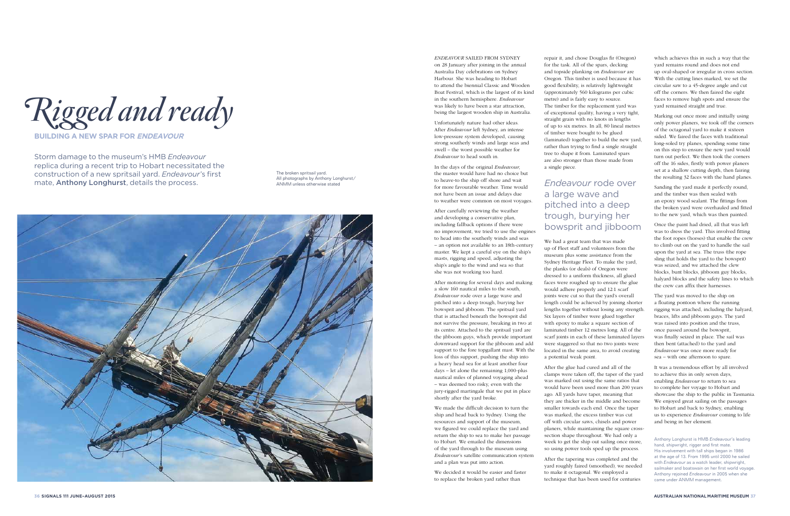Rigged and ready

**BUILDING A NEW SPAR FOR ENDEAVOUR**

*ENDEAVOUR* SAILED FROM SYDNEY on 28 January after joining in the annual Australia Day celebrations on Sydney Harbour. She was heading to Hobart to attend the biennial Classic and Wooden Boat Festival, which is the largest of its kind in the southern hemisphere. *Endeavour* was likely to have been a star attraction, being the largest wooden ship in Australia.

Unfortunately nature had other ideas. After *Endeavour* left Sydney, an intense low-pressure system developed, causing strong southerly winds and large seas and swell – the worst possible weather for *Endeavour* to head south in.

In the days of the original *Endeavour*, the master would have had no choice but to heave-to the ship off shore and wait for more favourable weather. Time would not have been an issue and delays due to weather were common on most voyages.

After carefully reviewing the weather and developing a conservative plan, including fallback options if there were no improvement, we tried to use the engines to head into the southerly winds and seas – an option not available to an 18th-century master. We kept a careful eye on the ship's masts, rigging and speed, adjusting the ship's angle to the wind and sea so that she was not working too hard.

After motoring for several days and making a slow 160 nautical miles to the south, *Endeavour* rode over a large wave and pitched into a deep trough, burying her bowsprit and jibboom. The spritsail yard that is attached beneath the bowsprit did not survive the pressure, breaking in two at its centre. Attached to the spritsail yard are the jibboom guys, which provide important downward support for the jibboom and add support to the fore topgallant mast. With the loss of this support, pushing the ship into a heavy head sea for at least another four days – let alone the remaining 1,000-plus nautical miles of planned voyaging ahead – was deemed too risky, even with the jury-rigged martingale that we put in place shortly after the yard broke.

We made the difficult decision to turn the ship and head back to Sydney. Using the resources and support of the museum, we figured we could replace the yard and return the ship to sea to make her passage to Hobart. We emailed the dimensions of the yard through to the museum using *Endeavour*'s satellite communication system and a plan was put into action.

We decided it would be easier and faster to replace the broken yard rather than

repair it, and chose Douglas fir (Oregon) for the task. All of the spars, decking and topside planking on *Endeavour* are Oregon. This timber is used because it has good flexibility, is relatively lightweight (approximately 560 kilograms per cubic metre) and is fairly easy to source. The timber for the replacement yard was of exceptional quality, having a very tight, straight grain with no knots in lengths of up to six metres. In all, 80 lineal metres of timber were bought to be glued (laminated) together to build the new yard, rather than trying to find a single straight tree to shape it from. Laminated spars are also stronger than those made from a single piece.

## *Endeavour* rode over a large wave and pitched into a deep trough, burying her bowsprit and jibboom

We had a great team that was made up of Fleet staff and volunteers from the museum plus some assistance from the Sydney Heritage Fleet. To make the yard, the planks (or deals) of Oregon were dressed to a uniform thickness, all glued faces were roughed up to ensure the glue would adhere properly and 12:1 scarf joints were cut so that the yard's overall length could be achieved by joining shorter lengths together without losing any strength. Six layers of timber were glued together with epoxy to make a square section of laminated timber 12 metres long. All of the scarf joints in each of these laminated layers were staggered so that no two joints were located in the same area, to avoid creating a potential weak point.

After the glue had cured and all of the clamps were taken off, the taper of the yard was marked out using the same ratios that would have been used more than 200 years ago. All yards have taper, meaning that they are thicker in the middle and become smaller towards each end. Once the taper was marked, the excess timber was cut off with circular saws, chisels and power planers, while maintaining the square crosssection shape throughout. We had only a week to get the ship out sailing once more, so using power tools sped up the process.

After the tapering was completed and the yard roughly faired (smoothed), we needed to make it octagonal. We employed a technique that has been used for centuries

which achieves this in such a way that the yard remains round and does not end up oval-shaped or irregular in cross section. With the cutting lines marked, we set the circular saw to a 45-degree angle and cut off the corners. We then faired the eight faces to remove high spots and ensure the yard remained straight and true.

Marking out once more and initially using only power planers, we took off the corners of the octagonal yard to make it sixteen sided. We faired the faces with traditional long-soled try planes, spending some time on this step to ensure the new yard would turn out perfect. We then took the corners off the 16 sides, firstly with power planers set at a shallow cutting depth, then fairing the resulting 32 faces with the hand planes.

Sanding the yard made it perfectly round, and the timber was then sealed with an epoxy wood sealant. The fittings from the broken yard were overhauled and fitted to the new yard, which was then painted.

Once the paint had dried, all that was left was to dress the yard. This involved fitting the foot ropes (horses) that enable the crew to climb out on the yard to handle the sail upon the yard at sea. The truss (the rope sling that holds the yard to the bowsprit) was seized, and we attached the clew blocks, bunt blocks, jibboom guy blocks, halyard blocks and the safety lines to which the crew can affix their harnesses.

The yard was moved to the ship on a floating pontoon where the running rigging was attached, including the halyard, braces, lifts and jibboom guys. The yard was raised into position and the truss, once passed around the bowsprit, was finally seized in place. The sail was then bent (attached) to the yard and *Endeavour* was once more ready for sea – with one afternoon to spare.

It was a tremendous effort by all involved to achieve this in only seven days, enabling *Endeavour* to return to sea to complete her voyage to Hobart and showcase the ship to the public in Tasmania. We enjoyed great sailing on the passages to Hobart and back to Sydney, enabling us to experience *Endeavour* coming to life and being in her element.

Storm damage to the museum's HMB *Endeavour* replica during a recent trip to Hobart necessitated the construction of a new spritsail yard. *Endeavour*'s first mate, Anthony Longhurst, details the process.

The broken spritsail yard. All photographs by Anthony Longhurst/ ANMM unless otherwise stated



Anthony Longhurst is HMB *Endeavour*'s leading hand, shipwright, rigger and first mate. His involvement with tall ships began in 1986 at the age of 13. From 1995 until 2000 he sailed with *Endeavour* as a watch leader, shipwright, sailmaker and boatswain on her first world voyage. Anthony rejoined *Endeavour* in 2005 when she came under ANMM management.